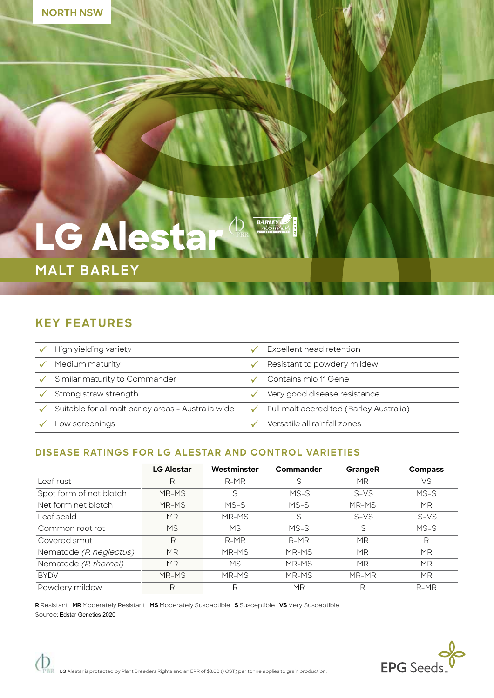

# **LG Alesta**

# **MALT BARLEY**

# **KEY FEATURES**

| High yielding variety                               | Excellent head retention                       |
|-----------------------------------------------------|------------------------------------------------|
| Medium maturity                                     | Resistant to powdery mildew                    |
| Similar maturity to Commander                       | Contains mlo 11 Gene                           |
| Strong straw strength                               | Very good disease resistance                   |
| Suitable for all malt barley areas - Australia wide | <b>Full malt accredited (Barley Australia)</b> |
| _ow screenings                                      | Versatile all rainfall zones                   |

**BARLEY** 

### **DISEASE RATINGS FOR LG ALESTAR AND CONTROL VARIETIES**

|                         | <b>LG Alestar</b> | Westminster | Commander | GrangeR   | <b>Compass</b> |
|-------------------------|-------------------|-------------|-----------|-----------|----------------|
| Leaf rust               | R                 | $R-MR$      | S         | MR        | VS             |
| Spot form of net blotch | MR-MS             | S           | $MS-S$    | $S-VS$    | $MS-S$         |
| Net form net blotch     | MR-MS             | $MS-S$      | $MS-S$    | MR-MS     | <b>MR</b>      |
| Leaf scald              | ΜR                | MR-MS       | S         | $S-VS$    | $S-VS$         |
| Common root rot         | <b>MS</b>         | МS          | $MS-S$    | S         | $MS-S$         |
| Covered smut            | R                 | $R-MR$      | $R-MR$    | MR        | R              |
| Nematode (P. neglectus) | <b>MR</b>         | MR-MS       | MR-MS     | MR        | MR             |
| Nematode (P. thornei)   | <b>MR</b>         | <b>MS</b>   | MR-MS     | <b>MR</b> | <b>MR</b>      |
| <b>BYDV</b>             | MR-MS             | MR-MS       | MR-MS     | MR-MR     | MR             |
| Powdery mildew          | R                 | R           | MR        | R         | $R-MR$         |

**R** Resistant **MR** Moderately Resistant **MS** Moderately Susceptible **S** Susceptible **VS** Very Susceptible Source: Edstar Genetics 2020